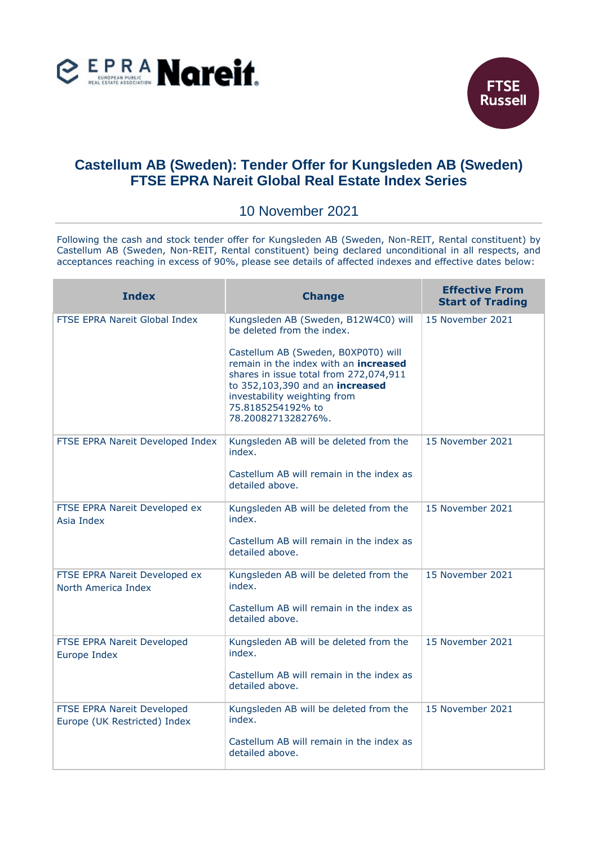



## **Castellum AB (Sweden): Tender Offer for Kungsleden AB (Sweden) FTSE EPRA Nareit Global Real Estate Index Series**

## 10 November 2021

Following the cash and stock tender offer for Kungsleden AB (Sweden, Non-REIT, Rental constituent) by Castellum AB (Sweden, Non-REIT, Rental constituent) being declared unconditional in all respects, and acceptances reaching in excess of 90%, please see details of affected indexes and effective dates below:

| <b>Index</b>                                               | <b>Change</b>                                                                                                                                                                                                                        | <b>Effective From</b><br><b>Start of Trading</b> |
|------------------------------------------------------------|--------------------------------------------------------------------------------------------------------------------------------------------------------------------------------------------------------------------------------------|--------------------------------------------------|
| <b>FTSE EPRA Nareit Global Index</b>                       | Kungsleden AB (Sweden, B12W4C0) will<br>be deleted from the index.                                                                                                                                                                   | 15 November 2021                                 |
|                                                            | Castellum AB (Sweden, B0XP0T0) will<br>remain in the index with an increased<br>shares in issue total from 272,074,911<br>to 352,103,390 and an increased<br>investability weighting from<br>75.8185254192% to<br>78.2008271328276%. |                                                  |
| FTSE EPRA Nareit Developed Index                           | Kungsleden AB will be deleted from the<br>index.                                                                                                                                                                                     | 15 November 2021                                 |
|                                                            | Castellum AB will remain in the index as<br>detailed above.                                                                                                                                                                          |                                                  |
| FTSE EPRA Nareit Developed ex<br>Asia Index                | Kungsleden AB will be deleted from the<br>index.                                                                                                                                                                                     | 15 November 2021                                 |
|                                                            | Castellum AB will remain in the index as<br>detailed above.                                                                                                                                                                          |                                                  |
| FTSE EPRA Nareit Developed ex<br>North America Index       | Kungsleden AB will be deleted from the<br>index.                                                                                                                                                                                     | 15 November 2021                                 |
|                                                            | Castellum AB will remain in the index as<br>detailed above.                                                                                                                                                                          |                                                  |
| FTSE EPRA Nareit Developed<br>Europe Index                 | Kungsleden AB will be deleted from the<br>index.                                                                                                                                                                                     | 15 November 2021                                 |
|                                                            | Castellum AB will remain in the index as<br>detailed above.                                                                                                                                                                          |                                                  |
| FTSE EPRA Nareit Developed<br>Europe (UK Restricted) Index | Kungsleden AB will be deleted from the<br>index.                                                                                                                                                                                     | 15 November 2021                                 |
|                                                            | Castellum AB will remain in the index as<br>detailed above.                                                                                                                                                                          |                                                  |